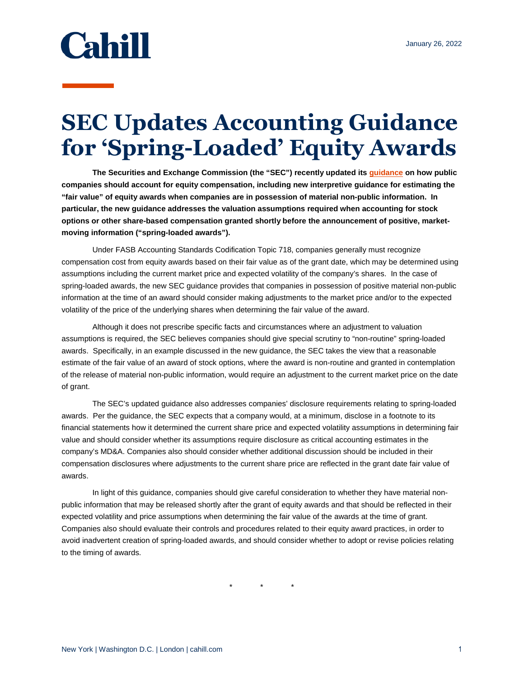

## **SEC Updates Accounting Guidance for 'Spring-Loaded' Equity Awards**

**The Securities and Exchange Commission (the "SEC") recently updated it[s guidance](https://www.sec.gov/oca/staff-accounting-bulletin-120) on how public companies should account for equity compensation, including new interpretive guidance for estimating the "fair value" of equity awards when companies are in possession of material non-public information. In particular, the new guidance addresses the valuation assumptions required when accounting for stock options or other share-based compensation granted shortly before the announcement of positive, marketmoving information ("spring-loaded awards").** 

Under FASB Accounting Standards Codification Topic 718, companies generally must recognize compensation cost from equity awards based on their fair value as of the grant date, which may be determined using assumptions including the current market price and expected volatility of the company's shares. In the case of spring-loaded awards, the new SEC guidance provides that companies in possession of positive material non-public information at the time of an award should consider making adjustments to the market price and/or to the expected volatility of the price of the underlying shares when determining the fair value of the award.

Although it does not prescribe specific facts and circumstances where an adjustment to valuation assumptions is required, the SEC believes companies should give special scrutiny to "non-routine" spring-loaded awards. Specifically, in an example discussed in the new guidance, the SEC takes the view that a reasonable estimate of the fair value of an award of stock options, where the award is non-routine and granted in contemplation of the release of material non-public information, would require an adjustment to the current market price on the date of grant.

The SEC's updated guidance also addresses companies' disclosure requirements relating to spring-loaded awards. Per the guidance, the SEC expects that a company would, at a minimum, disclose in a footnote to its financial statements how it determined the current share price and expected volatility assumptions in determining fair value and should consider whether its assumptions require disclosure as critical accounting estimates in the company's MD&A. Companies also should consider whether additional discussion should be included in their compensation disclosures where adjustments to the current share price are reflected in the grant date fair value of awards.

In light of this guidance, companies should give careful consideration to whether they have material nonpublic information that may be released shortly after the grant of equity awards and that should be reflected in their expected volatility and price assumptions when determining the fair value of the awards at the time of grant. Companies also should evaluate their controls and procedures related to their equity award practices, in order to avoid inadvertent creation of spring-loaded awards, and should consider whether to adopt or revise policies relating to the timing of awards.

\* \* \*